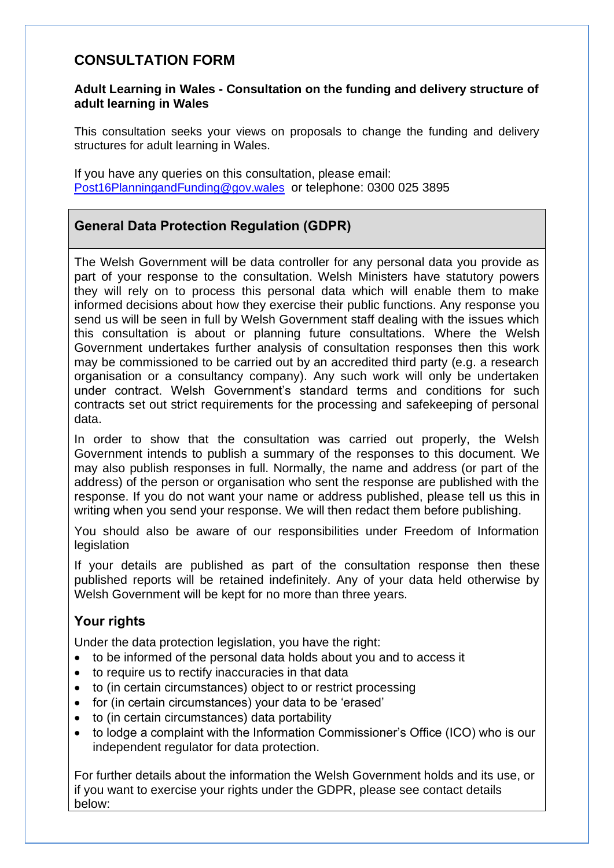## **CONSULTATION FORM**

#### **Adult Learning in Wales - Consultation on the funding and delivery structure of adult learning in Wales**

This consultation seeks your views on proposals to change the funding and delivery structures for adult learning in Wales.

If you have any queries on this consultation, please email: [Post16PlanningandFunding@gov.wales](mailto:Post16PlanningandFunding@gov.wales) or telephone: 0300 025 3895

## **General Data Protection Regulation (GDPR)**

The Welsh Government will be data controller for any personal data you provide as part of your response to the consultation. Welsh Ministers have statutory powers they will rely on to process this personal data which will enable them to make informed decisions about how they exercise their public functions. Any response you send us will be seen in full by Welsh Government staff dealing with the issues which this consultation is about or planning future consultations. Where the Welsh Government undertakes further analysis of consultation responses then this work may be commissioned to be carried out by an accredited third party (e.g. a research organisation or a consultancy company). Any such work will only be undertaken under contract. Welsh Government's standard terms and conditions for such contracts set out strict requirements for the processing and safekeeping of personal data.

In order to show that the consultation was carried out properly, the Welsh Government intends to publish a summary of the responses to this document. We may also publish responses in full. Normally, the name and address (or part of the address) of the person or organisation who sent the response are published with the response. If you do not want your name or address published, please tell us this in writing when you send your response. We will then redact them before publishing.

You should also be aware of our responsibilities under Freedom of Information legislation

If your details are published as part of the consultation response then these published reports will be retained indefinitely. Any of your data held otherwise by Welsh Government will be kept for no more than three years.

#### **Your rights**

Under the data protection legislation, you have the right:

- to be informed of the personal data holds about you and to access it
- to require us to rectify inaccuracies in that data
- to (in certain circumstances) object to or restrict processing
- for (in certain circumstances) your data to be 'erased'
- to (in certain circumstances) data portability
- to lodge a complaint with the Information Commissioner's Office (ICO) who is our independent regulator for data protection.

For further details about the information the Welsh Government holds and its use, or if you want to exercise your rights under the GDPR, please see contact details below: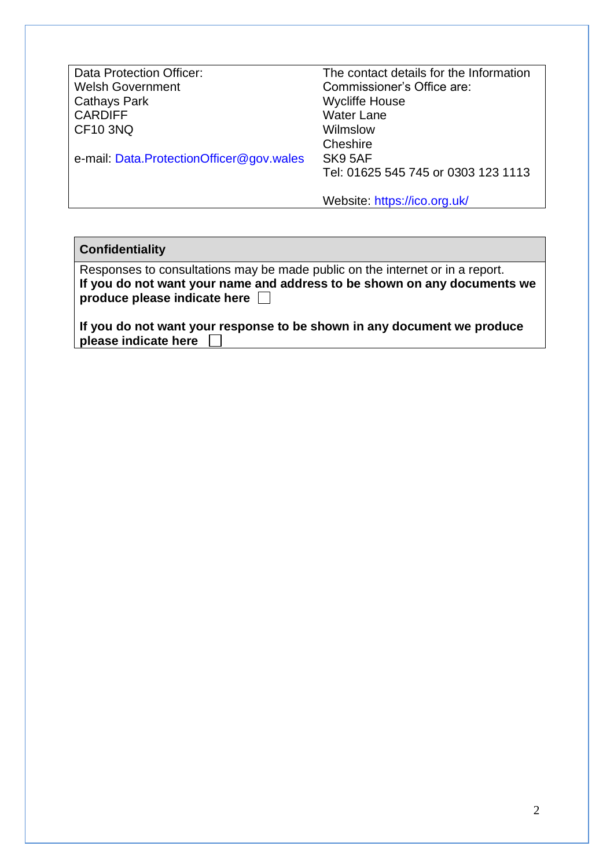| Data Protection Officer:                 | The contact details for the Information |
|------------------------------------------|-----------------------------------------|
| <b>Welsh Government</b>                  | Commissioner's Office are:              |
| <b>Cathays Park</b>                      | <b>Wycliffe House</b>                   |
| <b>CARDIFF</b>                           | <b>Water Lane</b>                       |
| <b>CF10 3NQ</b>                          | Wilmslow                                |
|                                          | Cheshire                                |
| e-mail: Data.ProtectionOfficer@gov.wales | SK9 5AF                                 |
|                                          | Tel: 01625 545 745 or 0303 123 1113     |
|                                          | Website: https://ico.org.uk/            |

| <b>Confidentiality</b> |  |
|------------------------|--|
|------------------------|--|

| Responses to consultations may be made public on the internet or in a report. |
|-------------------------------------------------------------------------------|
| If you do not want your name and address to be shown on any documents we      |
| produce please indicate here $\Box$                                           |

**If you do not want your response to be shown in any document we produce please indicate here**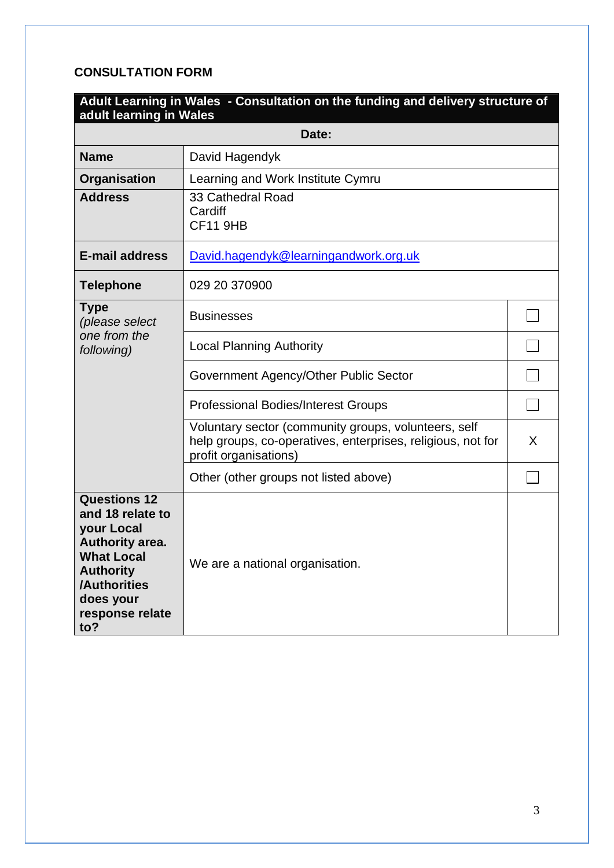## **CONSULTATION FORM**

| Adult Learning in Wales - Consultation on the funding and delivery structure of<br>adult learning in Wales                                                               |                                                                                                                                              |   |  |
|--------------------------------------------------------------------------------------------------------------------------------------------------------------------------|----------------------------------------------------------------------------------------------------------------------------------------------|---|--|
|                                                                                                                                                                          | Date:                                                                                                                                        |   |  |
| <b>Name</b>                                                                                                                                                              | David Hagendyk                                                                                                                               |   |  |
| Organisation                                                                                                                                                             | Learning and Work Institute Cymru                                                                                                            |   |  |
| <b>Address</b>                                                                                                                                                           | 33 Cathedral Road<br>Cardiff<br><b>CF11 9HB</b>                                                                                              |   |  |
| <b>E-mail address</b>                                                                                                                                                    | David.hagendyk@learningandwork.org.uk                                                                                                        |   |  |
| <b>Telephone</b>                                                                                                                                                         | 029 20 370900                                                                                                                                |   |  |
| <b>Type</b><br>(please select                                                                                                                                            | <b>Businesses</b>                                                                                                                            |   |  |
| one from the<br>following)                                                                                                                                               | <b>Local Planning Authority</b>                                                                                                              |   |  |
|                                                                                                                                                                          | Government Agency/Other Public Sector                                                                                                        |   |  |
|                                                                                                                                                                          | <b>Professional Bodies/Interest Groups</b>                                                                                                   |   |  |
|                                                                                                                                                                          | Voluntary sector (community groups, volunteers, self<br>help groups, co-operatives, enterprises, religious, not for<br>profit organisations) | X |  |
|                                                                                                                                                                          | Other (other groups not listed above)                                                                                                        |   |  |
| <b>Questions 12</b><br>and 18 relate to<br>your Local<br>Authority area.<br><b>What Local</b><br><b>Authority</b><br>/Authorities<br>does your<br>response relate<br>to? | We are a national organisation.                                                                                                              |   |  |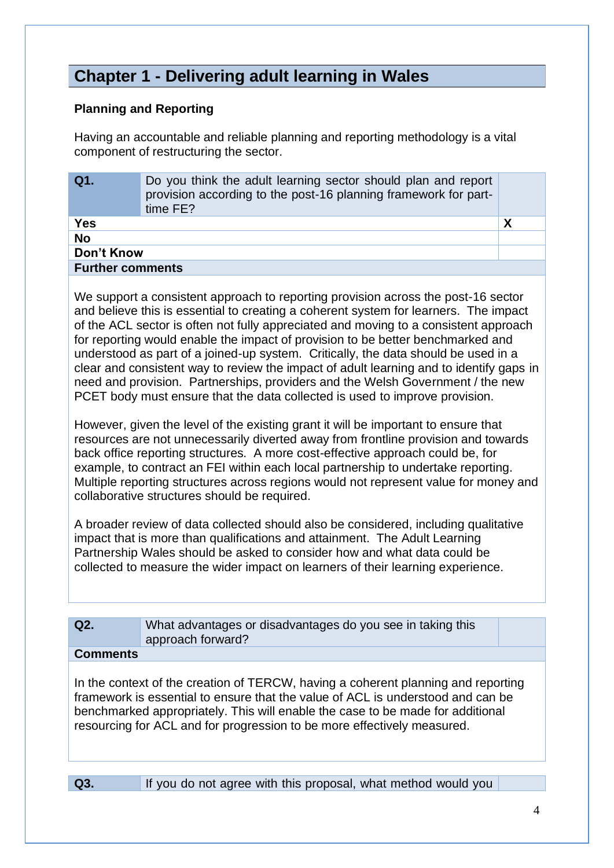# **Chapter 1 - Delivering adult learning in Wales**

#### **Planning and Reporting**

Having an accountable and reliable planning and reporting methodology is a vital component of restructuring the sector.

| Q1.                     | Do you think the adult learning sector should plan and report<br>provision according to the post-16 planning framework for part-<br>time FE? |  |
|-------------------------|----------------------------------------------------------------------------------------------------------------------------------------------|--|
| <b>Yes</b>              |                                                                                                                                              |  |
| <b>No</b>               |                                                                                                                                              |  |
| Don't Know              |                                                                                                                                              |  |
| <b>Further comments</b> |                                                                                                                                              |  |

We support a consistent approach to reporting provision across the post-16 sector and believe this is essential to creating a coherent system for learners. The impact of the ACL sector is often not fully appreciated and moving to a consistent approach for reporting would enable the impact of provision to be better benchmarked and understood as part of a joined-up system. Critically, the data should be used in a clear and consistent way to review the impact of adult learning and to identify gaps in need and provision. Partnerships, providers and the Welsh Government / the new PCET body must ensure that the data collected is used to improve provision.

However, given the level of the existing grant it will be important to ensure that resources are not unnecessarily diverted away from frontline provision and towards back office reporting structures. A more cost-effective approach could be, for example, to contract an FEI within each local partnership to undertake reporting. Multiple reporting structures across regions would not represent value for money and collaborative structures should be required.

A broader review of data collected should also be considered, including qualitative impact that is more than qualifications and attainment. The Adult Learning Partnership Wales should be asked to consider how and what data could be collected to measure the wider impact on learners of their learning experience.

| Q2.             | What advantages or disadvantages do you see in taking this<br>approach forward? |  |
|-----------------|---------------------------------------------------------------------------------|--|
| <b>Comments</b> |                                                                                 |  |

In the context of the creation of TERCW, having a coherent planning and reporting framework is essential to ensure that the value of ACL is understood and can be benchmarked appropriately. This will enable the case to be made for additional resourcing for ACL and for progression to be more effectively measured.

| $\sqrt{Q3}$ . | <b>If you do not agree with this proposal, what method would you</b> |  |
|---------------|----------------------------------------------------------------------|--|
|               |                                                                      |  |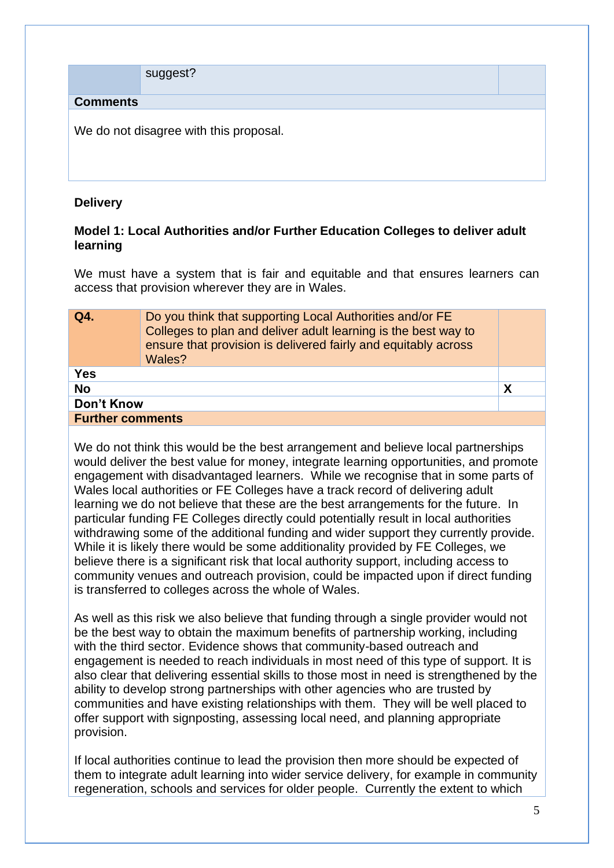|                 | suggest?                               |  |
|-----------------|----------------------------------------|--|
| <b>Comments</b> |                                        |  |
|                 | We do not disagree with this proposal. |  |

### **Delivery**

#### **Model 1: Local Authorities and/or Further Education Colleges to deliver adult learning**

We must have a system that is fair and equitable and that ensures learners can access that provision wherever they are in Wales.

| Q4.                     | Do you think that supporting Local Authorities and/or FE<br>Colleges to plan and deliver adult learning is the best way to<br>ensure that provision is delivered fairly and equitably across<br>Wales? |   |
|-------------------------|--------------------------------------------------------------------------------------------------------------------------------------------------------------------------------------------------------|---|
| <b>Yes</b>              |                                                                                                                                                                                                        |   |
| <b>No</b>               |                                                                                                                                                                                                        | Χ |
| Don't Know              |                                                                                                                                                                                                        |   |
| <b>Further comments</b> |                                                                                                                                                                                                        |   |
|                         |                                                                                                                                                                                                        |   |

We do not think this would be the best arrangement and believe local partnerships would deliver the best value for money, integrate learning opportunities, and promote engagement with disadvantaged learners. While we recognise that in some parts of Wales local authorities or FE Colleges have a track record of delivering adult learning we do not believe that these are the best arrangements for the future. In particular funding FE Colleges directly could potentially result in local authorities withdrawing some of the additional funding and wider support they currently provide. While it is likely there would be some additionality provided by FE Colleges, we believe there is a significant risk that local authority support, including access to community venues and outreach provision, could be impacted upon if direct funding is transferred to colleges across the whole of Wales.

As well as this risk we also believe that funding through a single provider would not be the best way to obtain the maximum benefits of partnership working, including with the third sector. Evidence shows that community-based outreach and engagement is needed to reach individuals in most need of this type of support. It is also clear that delivering essential skills to those most in need is strengthened by the ability to develop strong partnerships with other agencies who are trusted by communities and have existing relationships with them. They will be well placed to offer support with signposting, assessing local need, and planning appropriate provision.

If local authorities continue to lead the provision then more should be expected of them to integrate adult learning into wider service delivery, for example in community regeneration, schools and services for older people. Currently the extent to which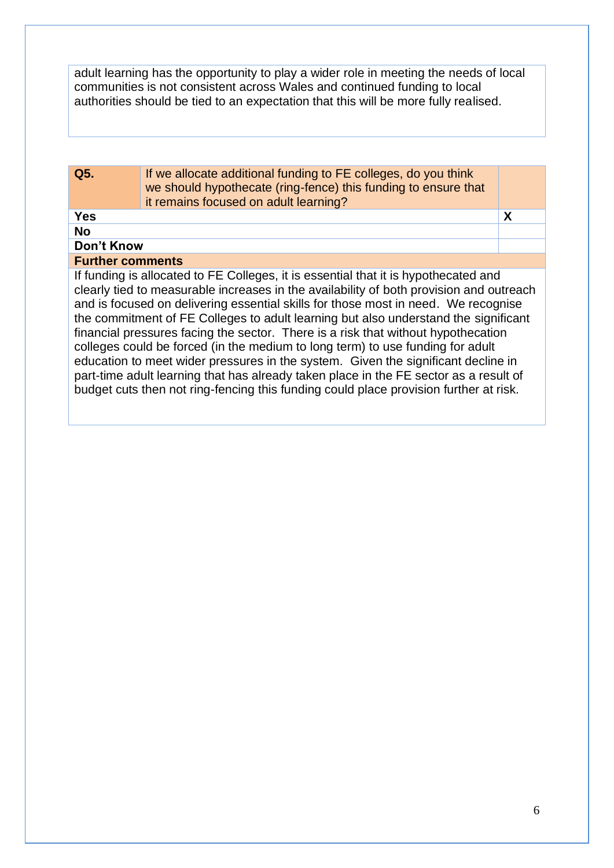adult learning has the opportunity to play a wider role in meeting the needs of local communities is not consistent across Wales and continued funding to local authorities should be tied to an expectation that this will be more fully realised.

| Q5.                     | If we allocate additional funding to FE colleges, do you think<br>we should hypothecate (ring-fence) this funding to ensure that<br>it remains focused on adult learning?                                                                                                                                                                                                                                                                                                                                                                                                                                                                                                                                                                                                                                 |   |
|-------------------------|-----------------------------------------------------------------------------------------------------------------------------------------------------------------------------------------------------------------------------------------------------------------------------------------------------------------------------------------------------------------------------------------------------------------------------------------------------------------------------------------------------------------------------------------------------------------------------------------------------------------------------------------------------------------------------------------------------------------------------------------------------------------------------------------------------------|---|
| <b>Yes</b>              |                                                                                                                                                                                                                                                                                                                                                                                                                                                                                                                                                                                                                                                                                                                                                                                                           | X |
| <b>No</b>               |                                                                                                                                                                                                                                                                                                                                                                                                                                                                                                                                                                                                                                                                                                                                                                                                           |   |
| <b>Don't Know</b>       |                                                                                                                                                                                                                                                                                                                                                                                                                                                                                                                                                                                                                                                                                                                                                                                                           |   |
| <b>Further comments</b> |                                                                                                                                                                                                                                                                                                                                                                                                                                                                                                                                                                                                                                                                                                                                                                                                           |   |
|                         | If funding is allocated to FE Colleges, it is essential that it is hypothecated and<br>clearly tied to measurable increases in the availability of both provision and outreach<br>and is focused on delivering essential skills for those most in need. We recognise<br>the commitment of FE Colleges to adult learning but also understand the significant<br>financial pressures facing the sector. There is a risk that without hypothecation<br>colleges could be forced (in the medium to long term) to use funding for adult<br>education to meet wider pressures in the system. Given the significant decline in<br>part-time adult learning that has already taken place in the FE sector as a result of<br>budget cuts then not ring-fencing this funding could place provision further at risk. |   |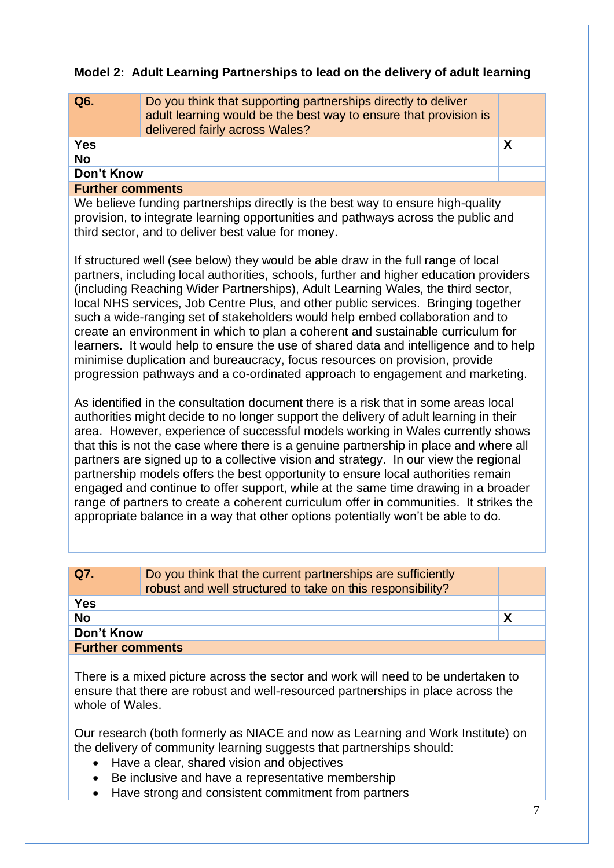#### **Model 2: Adult Learning Partnerships to lead on the delivery of adult learning**

| Q6.                     | Do you think that supporting partnerships directly to deliver<br>adult learning would be the best way to ensure that provision is<br>delivered fairly across Wales? |  |
|-------------------------|---------------------------------------------------------------------------------------------------------------------------------------------------------------------|--|
| Yes                     |                                                                                                                                                                     |  |
| <b>No</b>               |                                                                                                                                                                     |  |
| Don't Know              |                                                                                                                                                                     |  |
| <b>Further comments</b> |                                                                                                                                                                     |  |

We believe funding partnerships directly is the best way to ensure high-quality provision, to integrate learning opportunities and pathways across the public and third sector, and to deliver best value for money.

If structured well (see below) they would be able draw in the full range of local partners, including local authorities, schools, further and higher education providers (including Reaching Wider Partnerships), Adult Learning Wales, the third sector, local NHS services, Job Centre Plus, and other public services. Bringing together such a wide-ranging set of stakeholders would help embed collaboration and to create an environment in which to plan a coherent and sustainable curriculum for learners. It would help to ensure the use of shared data and intelligence and to help minimise duplication and bureaucracy, focus resources on provision, provide progression pathways and a co-ordinated approach to engagement and marketing.

As identified in the consultation document there is a risk that in some areas local authorities might decide to no longer support the delivery of adult learning in their area. However, experience of successful models working in Wales currently shows that this is not the case where there is a genuine partnership in place and where all partners are signed up to a collective vision and strategy. In our view the regional partnership models offers the best opportunity to ensure local authorities remain engaged and continue to offer support, while at the same time drawing in a broader range of partners to create a coherent curriculum offer in communities. It strikes the appropriate balance in a way that other options potentially won't be able to do.

| Do you think that the current partnerships are sufficiently<br>robust and well structured to take on this responsibility? |  |  |
|---------------------------------------------------------------------------------------------------------------------------|--|--|
| <b>Yes</b>                                                                                                                |  |  |
|                                                                                                                           |  |  |
| Don't Know                                                                                                                |  |  |
| <b>Further comments</b>                                                                                                   |  |  |
|                                                                                                                           |  |  |

There is a mixed picture across the sector and work will need to be undertaken to ensure that there are robust and well-resourced partnerships in place across the whole of Wales.

Our research (both formerly as NIACE and now as Learning and Work Institute) on the delivery of community learning suggests that partnerships should:

- Have a clear, shared vision and objectives
- Be inclusive and have a representative membership
- Have strong and consistent commitment from partners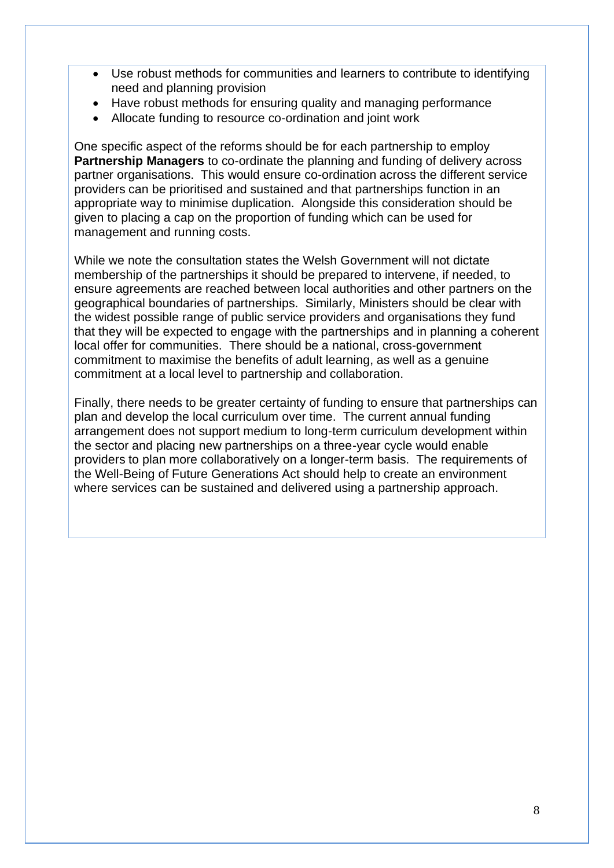- Use robust methods for communities and learners to contribute to identifying need and planning provision
- Have robust methods for ensuring quality and managing performance
- Allocate funding to resource co-ordination and joint work

One specific aspect of the reforms should be for each partnership to employ **Partnership Managers** to co-ordinate the planning and funding of delivery across partner organisations. This would ensure co-ordination across the different service providers can be prioritised and sustained and that partnerships function in an appropriate way to minimise duplication. Alongside this consideration should be given to placing a cap on the proportion of funding which can be used for management and running costs.

While we note the consultation states the Welsh Government will not dictate membership of the partnerships it should be prepared to intervene, if needed, to ensure agreements are reached between local authorities and other partners on the geographical boundaries of partnerships. Similarly, Ministers should be clear with the widest possible range of public service providers and organisations they fund that they will be expected to engage with the partnerships and in planning a coherent local offer for communities. There should be a national, cross-government commitment to maximise the benefits of adult learning, as well as a genuine commitment at a local level to partnership and collaboration.

Finally, there needs to be greater certainty of funding to ensure that partnerships can plan and develop the local curriculum over time. The current annual funding arrangement does not support medium to long-term curriculum development within the sector and placing new partnerships on a three-year cycle would enable providers to plan more collaboratively on a longer-term basis. The requirements of the Well-Being of Future Generations Act should help to create an environment where services can be sustained and delivered using a partnership approach.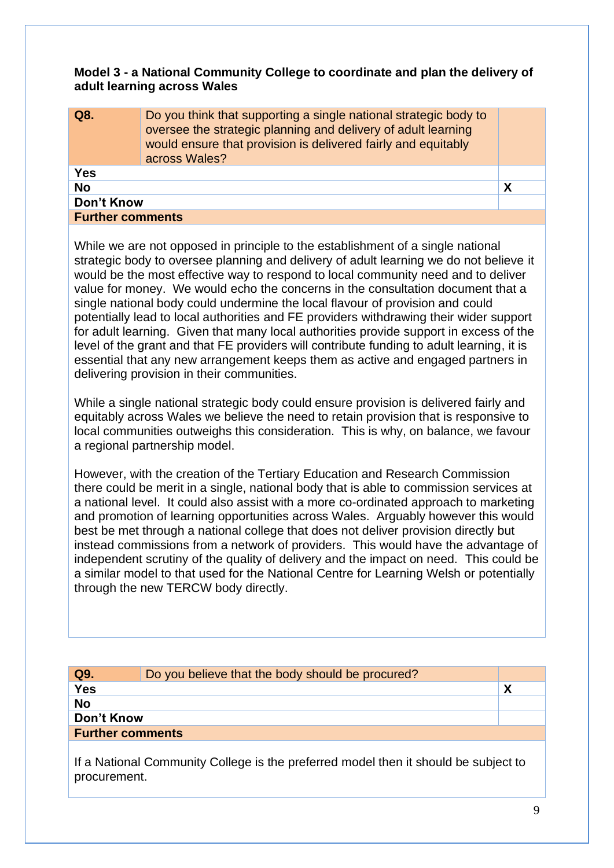#### **Model 3 - a National Community College to coordinate and plan the delivery of adult learning across Wales**

| Q8.                     | Do you think that supporting a single national strategic body to<br>oversee the strategic planning and delivery of adult learning<br>would ensure that provision is delivered fairly and equitably<br>across Wales? |   |
|-------------------------|---------------------------------------------------------------------------------------------------------------------------------------------------------------------------------------------------------------------|---|
| Yes                     |                                                                                                                                                                                                                     |   |
| <b>No</b>               |                                                                                                                                                                                                                     | Χ |
| Don't Know              |                                                                                                                                                                                                                     |   |
| <b>Further comments</b> |                                                                                                                                                                                                                     |   |

While we are not opposed in principle to the establishment of a single national strategic body to oversee planning and delivery of adult learning we do not believe it would be the most effective way to respond to local community need and to deliver value for money. We would echo the concerns in the consultation document that a single national body could undermine the local flavour of provision and could potentially lead to local authorities and FE providers withdrawing their wider support for adult learning. Given that many local authorities provide support in excess of the level of the grant and that FE providers will contribute funding to adult learning, it is essential that any new arrangement keeps them as active and engaged partners in delivering provision in their communities.

While a single national strategic body could ensure provision is delivered fairly and equitably across Wales we believe the need to retain provision that is responsive to local communities outweighs this consideration. This is why, on balance, we favour a regional partnership model.

However, with the creation of the Tertiary Education and Research Commission there could be merit in a single, national body that is able to commission services at a national level. It could also assist with a more co-ordinated approach to marketing and promotion of learning opportunities across Wales. Arguably however this would best be met through a national college that does not deliver provision directly but instead commissions from a network of providers. This would have the advantage of independent scrutiny of the quality of delivery and the impact on need. This could be a similar model to that used for the National Centre for Learning Welsh or potentially through the new TERCW body directly.

| Q9.                     | Do you believe that the body should be procured? |  |
|-------------------------|--------------------------------------------------|--|
| <b>Yes</b>              |                                                  |  |
| <b>No</b>               |                                                  |  |
| Don't Know              |                                                  |  |
| <b>Further comments</b> |                                                  |  |
|                         |                                                  |  |

If a National Community College is the preferred model then it should be subject to procurement.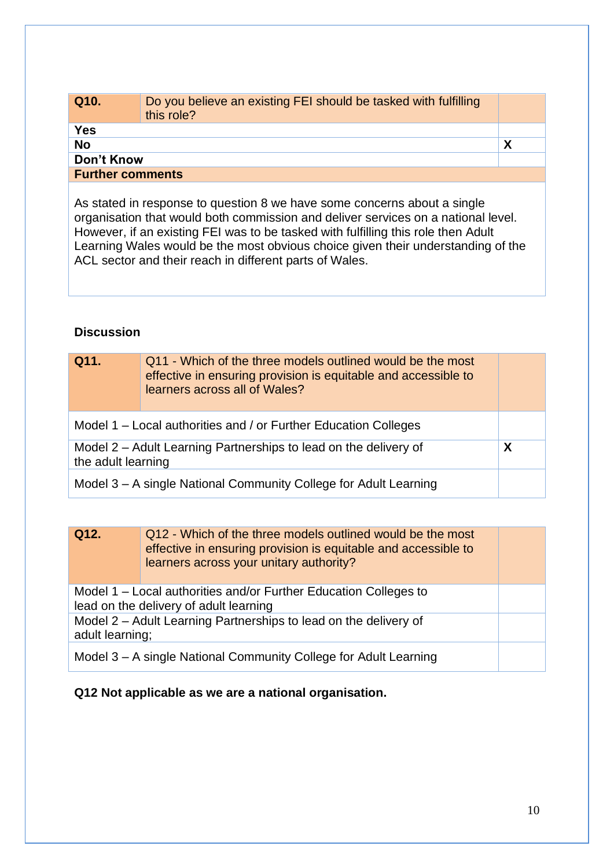| Q <sub>10</sub>         | Do you believe an existing FEI should be tasked with fulfilling<br>this role? |  |
|-------------------------|-------------------------------------------------------------------------------|--|
| <b>Yes</b>              |                                                                               |  |
| <b>No</b>               |                                                                               |  |
| Don't Know              |                                                                               |  |
| <b>Further comments</b> |                                                                               |  |

As stated in response to question 8 we have some concerns about a single organisation that would both commission and deliver services on a national level. However, if an existing FEI was to be tasked with fulfilling this role then Adult Learning Wales would be the most obvious choice given their understanding of the ACL sector and their reach in different parts of Wales.

#### **Discussion**

| Q11.                                                                                   | Q11 - Which of the three models outlined would be the most<br>effective in ensuring provision is equitable and accessible to<br>learners across all of Wales? |   |
|----------------------------------------------------------------------------------------|---------------------------------------------------------------------------------------------------------------------------------------------------------------|---|
| Model 1 – Local authorities and / or Further Education Colleges                        |                                                                                                                                                               |   |
| Model 2 – Adult Learning Partnerships to lead on the delivery of<br>the adult learning |                                                                                                                                                               | X |
| Model 3 – A single National Community College for Adult Learning                       |                                                                                                                                                               |   |

| Q12.                                                                                                       | Q12 - Which of the three models outlined would be the most<br>effective in ensuring provision is equitable and accessible to<br>learners across your unitary authority? |  |
|------------------------------------------------------------------------------------------------------------|-------------------------------------------------------------------------------------------------------------------------------------------------------------------------|--|
| Model 1 – Local authorities and/or Further Education Colleges to<br>lead on the delivery of adult learning |                                                                                                                                                                         |  |
| Model 2 – Adult Learning Partnerships to lead on the delivery of<br>adult learning;                        |                                                                                                                                                                         |  |
| Model 3 – A single National Community College for Adult Learning                                           |                                                                                                                                                                         |  |

#### **Q12 Not applicable as we are a national organisation.**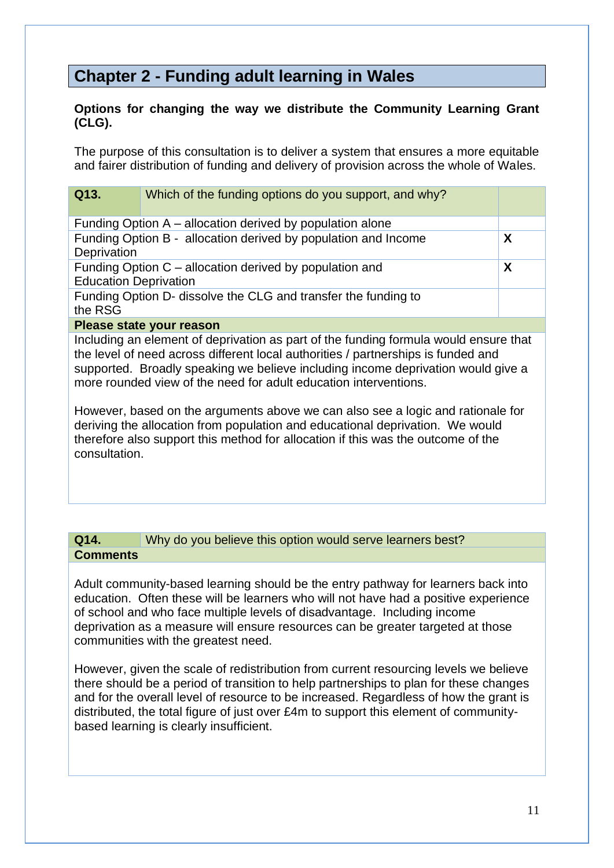## **Chapter 2 - Funding adult learning in Wales**

#### **Options for changing the way we distribute the Community Learning Grant (CLG).**

The purpose of this consultation is to deliver a system that ensures a more equitable and fairer distribution of funding and delivery of provision across the whole of Wales.

| Q13.                                                                      | Which of the funding options do you support, and why?          |   |  |
|---------------------------------------------------------------------------|----------------------------------------------------------------|---|--|
|                                                                           | Funding Option A – allocation derived by population alone      |   |  |
| Deprivation                                                               | Funding Option B - allocation derived by population and Income | Χ |  |
| <b>Education Deprivation</b>                                              | Funding Option C – allocation derived by population and        | X |  |
| Funding Option D- dissolve the CLG and transfer the funding to<br>the RSG |                                                                |   |  |
|                                                                           | Please state your reason                                       |   |  |

Including an element of deprivation as part of the funding formula would ensure that the level of need across different local authorities / partnerships is funded and supported. Broadly speaking we believe including income deprivation would give a more rounded view of the need for adult education interventions.

However, based on the arguments above we can also see a logic and rationale for deriving the allocation from population and educational deprivation. We would therefore also support this method for allocation if this was the outcome of the consultation.

#### **Q14.** Why do you believe this option would serve learners best? **Comments**

Adult community-based learning should be the entry pathway for learners back into education. Often these will be learners who will not have had a positive experience of school and who face multiple levels of disadvantage. Including income deprivation as a measure will ensure resources can be greater targeted at those communities with the greatest need.

However, given the scale of redistribution from current resourcing levels we believe there should be a period of transition to help partnerships to plan for these changes and for the overall level of resource to be increased. Regardless of how the grant is distributed, the total figure of just over £4m to support this element of communitybased learning is clearly insufficient.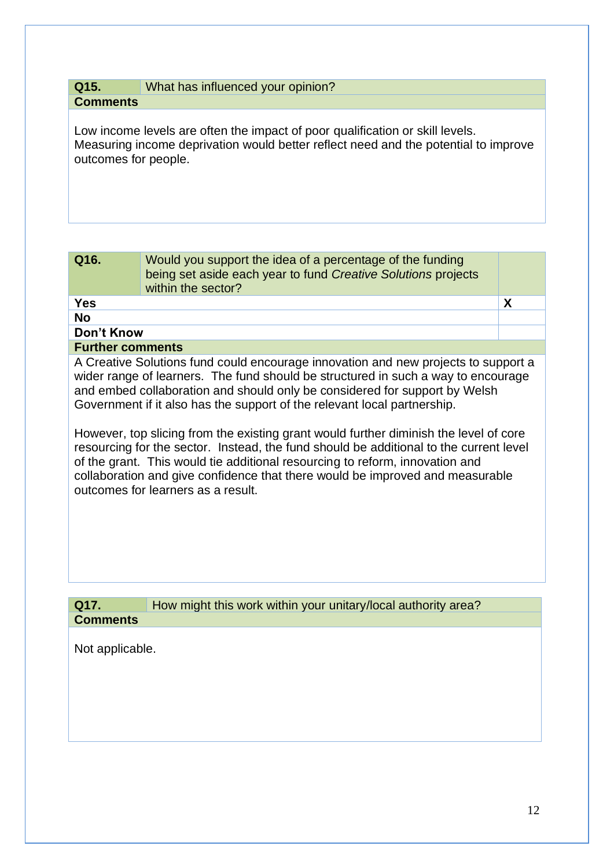#### **Q15.** What has influenced your opinion? **Comments**

Low income levels are often the impact of poor qualification or skill levels. Measuring income deprivation would better reflect need and the potential to improve outcomes for people.

| Q16.       | Would you support the idea of a percentage of the funding<br>being set aside each year to fund Creative Solutions projects<br>within the sector? |  |
|------------|--------------------------------------------------------------------------------------------------------------------------------------------------|--|
| <b>Yes</b> |                                                                                                                                                  |  |
| <b>No</b>  |                                                                                                                                                  |  |
| Don't Know |                                                                                                                                                  |  |

#### **Further comments**

A Creative Solutions fund could encourage innovation and new projects to support a wider range of learners. The fund should be structured in such a way to encourage and embed collaboration and should only be considered for support by Welsh Government if it also has the support of the relevant local partnership.

However, top slicing from the existing grant would further diminish the level of core resourcing for the sector. Instead, the fund should be additional to the current level of the grant. This would tie additional resourcing to reform, innovation and collaboration and give confidence that there would be improved and measurable outcomes for learners as a result.

| Q17.            | How might this work within your unitary/local authority area? |  |
|-----------------|---------------------------------------------------------------|--|
| <b>Comments</b> |                                                               |  |

Not applicable.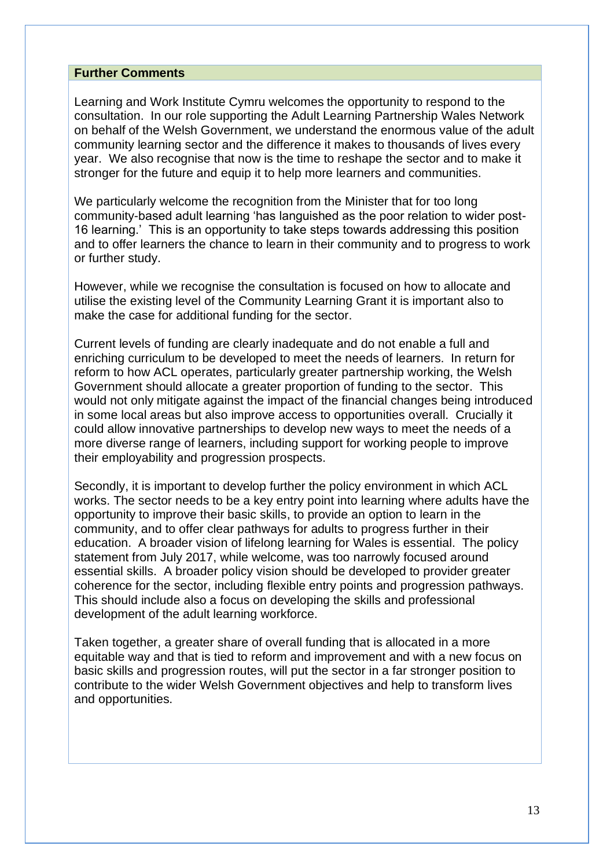#### **Further Comments**

Learning and Work Institute Cymru welcomes the opportunity to respond to the consultation. In our role supporting the Adult Learning Partnership Wales Network on behalf of the Welsh Government, we understand the enormous value of the adult community learning sector and the difference it makes to thousands of lives every year. We also recognise that now is the time to reshape the sector and to make it stronger for the future and equip it to help more learners and communities.

We particularly welcome the recognition from the Minister that for too long community-based adult learning 'has languished as the poor relation to wider post-16 learning.' This is an opportunity to take steps towards addressing this position and to offer learners the chance to learn in their community and to progress to work or further study.

However, while we recognise the consultation is focused on how to allocate and utilise the existing level of the Community Learning Grant it is important also to make the case for additional funding for the sector.

Current levels of funding are clearly inadequate and do not enable a full and enriching curriculum to be developed to meet the needs of learners. In return for reform to how ACL operates, particularly greater partnership working, the Welsh Government should allocate a greater proportion of funding to the sector. This would not only mitigate against the impact of the financial changes being introduced in some local areas but also improve access to opportunities overall. Crucially it could allow innovative partnerships to develop new ways to meet the needs of a more diverse range of learners, including support for working people to improve their employability and progression prospects.

Secondly, it is important to develop further the policy environment in which ACL works. The sector needs to be a key entry point into learning where adults have the opportunity to improve their basic skills, to provide an option to learn in the community, and to offer clear pathways for adults to progress further in their education. A broader vision of lifelong learning for Wales is essential. The policy statement from July 2017, while welcome, was too narrowly focused around essential skills. A broader policy vision should be developed to provider greater coherence for the sector, including flexible entry points and progression pathways. This should include also a focus on developing the skills and professional development of the adult learning workforce.

Taken together, a greater share of overall funding that is allocated in a more equitable way and that is tied to reform and improvement and with a new focus on basic skills and progression routes, will put the sector in a far stronger position to contribute to the wider Welsh Government objectives and help to transform lives and opportunities.